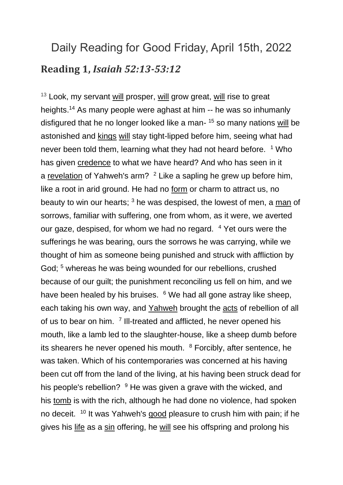## Daily Reading for Good Friday, April 15th, 2022 **Reading 1,** *Isaiah 52:13-53:12*

 $13$  Look, my servant [will](https://www.catholic.org/encyclopedia/view.php?id=12332) prosper, will grow great, will rise to great heights.<sup>14</sup> As many people were aghast at him -- he was so inhumanly disfigured that he no longer looked like a man- <sup>15</sup> so many nations [will](https://www.catholic.org/encyclopedia/view.php?id=12332) be astonished and [kings](https://www.catholic.org/encyclopedia/view.php?id=6650) [will](https://www.catholic.org/encyclopedia/view.php?id=12332) stay tight-lipped before him, seeing what had never been told them, learning what they had not heard before. <sup>1</sup> Who has given [credence](https://www.catholic.org/encyclopedia/view.php?id=3478) to what we have heard? And who has seen in it a [revelation](https://www.catholic.org/bible/book.php?id=73) of Yahweh's arm? <sup>2</sup> Like a sapling he grew up before him, like a root in arid ground. He had no [form](https://www.catholic.org/encyclopedia/view.php?id=4781) or charm to attract us, no beauty to win our hearts; <sup>3</sup> he was despised, the lowest of men, a [man](https://www.catholic.org/encyclopedia/view.php?id=7463) of sorrows, familiar with suffering, one from whom, as it were, we averted our gaze, despised, for whom we had no regard. <sup>4</sup> Yet ours were the sufferings he was bearing, ours the sorrows he was carrying, while we thought of him as someone being punished and struck with affliction by God; <sup>5</sup> whereas he was being wounded for our rebellions, crushed because of our guilt; the punishment reconciling us fell on him, and we have been healed by his bruises. <sup>6</sup> We had all gone astray like sheep, each taking his own way, and [Yahweh](https://www.catholic.org/encyclopedia/view.php?id=6291) brought the [acts](https://www.catholic.org/bible/book.php?id=51) of rebellion of all of us to bear on him. <sup>7</sup> III-treated and afflicted, he never opened his mouth, like a lamb led to the slaughter-house, like a sheep dumb before its shearers he never opened his mouth. <sup>8</sup> Forcibly, after sentence, he was taken. Which of his contemporaries was concerned at his having been cut off from the land of the living, at his having been struck dead for his people's rebellion? <sup>9</sup> He was given a grave with the wicked, and his [tomb](https://www.catholic.org/encyclopedia/view.php?id=11611) is with the rich, although he had done no violence, had spoken no deceit. <sup>10</sup> It was Yahweh's [good](https://www.catholic.org/encyclopedia/view.php?id=5257) pleasure to crush him with pain; if he gives his [life](https://www.catholic.org/encyclopedia/view.php?id=7101) as a [sin](https://www.catholic.org/encyclopedia/view.php?id=10849) offering, he [will](https://www.catholic.org/encyclopedia/view.php?id=12332) see his offspring and prolong his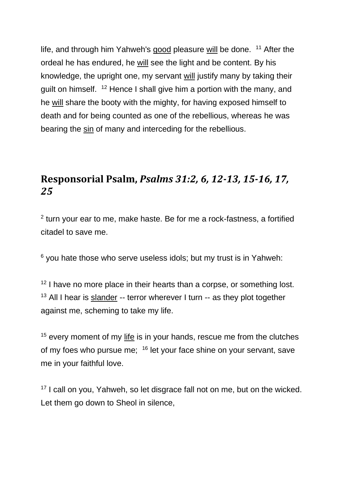life, and through him Yahweh's [good](https://www.catholic.org/encyclopedia/view.php?id=5257) pleasure [will](https://www.catholic.org/encyclopedia/view.php?id=12332) be done. <sup>11</sup> After the ordeal he has endured, he [will](https://www.catholic.org/encyclopedia/view.php?id=12332) see the light and be content. By his knowledge, the upright one, my servant [will](https://www.catholic.org/encyclopedia/view.php?id=12332) justify many by taking their guilt on himself. <sup>12</sup> Hence I shall give him a portion with the many, and he [will](https://www.catholic.org/encyclopedia/view.php?id=12332) share the booty with the mighty, for having exposed himself to death and for being counted as one of the rebellious, whereas he was bearing the [sin](https://www.catholic.org/encyclopedia/view.php?id=10849) of many and interceding for the rebellious.

## **Responsorial Psalm,** *Psalms 31:2, 6, 12-13, 15-16, 17, 25*

 $2$  turn your ear to me, make haste. Be for me a rock-fastness, a fortified citadel to save me.

 $6$  you hate those who serve useless idols; but my trust is in Yahweh:

 $12$  I have no more place in their hearts than a corpse, or something lost. <sup>13</sup> All I hear is [slander](https://www.catholic.org/encyclopedia/view.php?id=10884) -- terror wherever I turn  $-$  as they plot together against me, scheming to take my life.

<sup>15</sup> every moment of my [life](https://www.catholic.org/encyclopedia/view.php?id=7101) is in your hands, rescue me from the clutches of my foes who pursue me; <sup>16</sup> let your face shine on your servant, save me in your faithful love.

<sup>17</sup> I call on you, Yahweh, so let disgrace fall not on me, but on the wicked. Let them go down to Sheol in silence,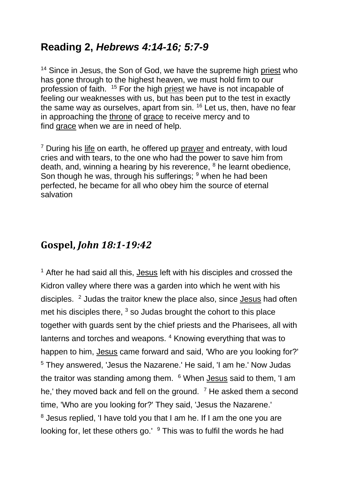## **Reading 2,** *Hebrews 4:14-16; 5:7-9*

<sup>14</sup> Since in Jesus, the Son of God, we have the supreme high [priest](https://www.catholic.org/encyclopedia/view.php?id=9622) who has gone through to the highest heaven, we must hold firm to our profession of faith. <sup>15</sup> For the high [priest](https://www.catholic.org/encyclopedia/view.php?id=9622) we have is not incapable of feeling our weaknesses with us, but has been put to the test in exactly the same way as ourselves, apart from sin. <sup>16</sup> Let us, then, have no fear in approaching the [throne](https://www.catholic.org/encyclopedia/view.php?id=11541) of [grace](https://www.catholic.org/encyclopedia/view.php?id=5305) to receive mercy and to find [grace](https://www.catholic.org/encyclopedia/view.php?id=5305) when we are in need of help.

 $<sup>7</sup>$  During his [life](https://www.catholic.org/encyclopedia/view.php?id=7101) on earth, he offered up [prayer](https://www.catholic.org/prayers) and entreaty, with loud</sup> cries and with tears, to the one who had the power to save him from death, and, winning a hearing by his reverence,  $8$  he learnt obedience, Son though he was, through his sufferings; <sup>9</sup> when he had been perfected, he became for all who obey him the source of eternal salvation

## **Gospel,** *John 18:1-19:42*

 $1$  After he had said all this, [Jesus](https://www.catholic.org/clife/jesus) left with his disciples and crossed the Kidron valley where there was a garden into which he went with his disciples. <sup>2</sup> Judas the traitor knew the place also, since [Jesus](https://www.catholic.org/clife/jesus) had often met his disciples there,  $3$  so Judas brought the cohort to this place together with guards sent by the chief priests and the Pharisees, all with lanterns and torches and weapons. <sup>4</sup> Knowing everything that was to happen to him, [Jesus](https://www.catholic.org/clife/jesus) came forward and said, 'Who are you looking for?' <sup>5</sup> They answered, 'Jesus the Nazarene.' He said, 'I am he.' Now Judas the traitor was standing among them. <sup>6</sup> When [Jesus](https://www.catholic.org/clife/jesus) said to them, 'I am he,' they moved back and fell on the ground.  $\frac{7}{1}$  He asked them a second time, 'Who are you looking for?' They said, 'Jesus the Nazarene.' <sup>8</sup> Jesus replied, 'I have told you that I am he. If I am the one you are looking for, let these others go.' <sup>9</sup> This was to fulfil the words he had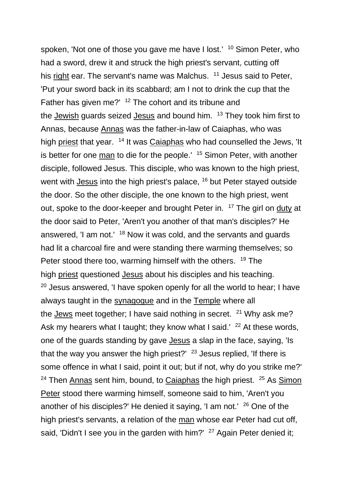spoken, 'Not one of those you gave me have I lost.' <sup>10</sup> Simon Peter, who had a sword, drew it and struck the high priest's servant, cutting off his [right](https://www.catholic.org/encyclopedia/view.php?id=10046) ear. The servant's name was Malchus. <sup>11</sup> Jesus said to Peter, 'Put your sword back in its scabbard; am I not to drink the cup that the Father has given me?' <sup>12</sup> The cohort and its tribune and the [Jewish](https://www.catholic.org/encyclopedia/view.php?id=6511) guards seized [Jesus](https://www.catholic.org/clife/jesus) and bound him. <sup>13</sup> They took him first to Annas, because [Annas](https://www.catholic.org/encyclopedia/view.php?id=819) was the father-in-law of Caiaphas, who was high [priest](https://www.catholic.org/encyclopedia/view.php?id=9622) that year. <sup>14</sup> It was [Caiaphas](https://www.catholic.org/encyclopedia/view.php?id=2361) who had counselled the Jews, 'It is better for one [man](https://www.catholic.org/encyclopedia/view.php?id=7463) to die for the people.' <sup>15</sup> Simon Peter, with another disciple, followed Jesus. This disciple, who was known to the high priest, went with [Jesus](https://www.catholic.org/clife/jesus) into the high priest's palace, <sup>16</sup> but Peter stayed outside the door. So the other disciple, the one known to the high priest, went out, spoke to the door-keeper and brought Peter in. <sup>17</sup> The girl on [duty](https://www.catholic.org/encyclopedia/view.php?id=4101) at the door said to Peter, 'Aren't you another of that man's disciples?' He answered, 'I am not.' <sup>18</sup> Now it was cold, and the servants and guards had lit a charcoal fire and were standing there warming themselves; so Peter stood there too, warming himself with the others. <sup>19</sup> The high [priest](https://www.catholic.org/encyclopedia/view.php?id=9622) questioned [Jesus](https://www.catholic.org/clife/jesus) about his disciples and his teaching. <sup>20</sup> Jesus answered, 'I have spoken openly for all the world to hear; I have always taught in the [synagogue](https://www.catholic.org/encyclopedia/view.php?id=11202) and in the [Temple](https://www.catholic.org/encyclopedia/view.php?id=11357) where all the **[Jews](https://www.catholic.org/encyclopedia/view.php?id=6511)** meet together; I have said nothing in secret.  $21$  Why ask me? Ask my hearers what I taught; they know what I said.' <sup>22</sup> At these words, one of the guards standing by gave [Jesus](https://www.catholic.org/clife/jesus) a slap in the face, saying, 'Is that the way you answer the high priest?'  $23$  Jesus replied, 'If there is some offence in what I said, point it out; but if not, why do you strike me?' <sup>24</sup> Then [Annas](https://www.catholic.org/encyclopedia/view.php?id=819) sent him, bound, to [Caiaphas](https://www.catholic.org/encyclopedia/view.php?id=2361) the high priest. <sup>25</sup> As Simon [Peter](https://www.catholic.org/encyclopedia/view.php?id=10842) stood there warming himself, someone said to him, 'Aren't you another of his disciples?' He denied it saying, 'I am not.' <sup>26</sup> One of the high priest's servants, a relation of the [man](https://www.catholic.org/encyclopedia/view.php?id=7463) whose ear Peter had cut off, said, 'Didn't I see you in the garden with him?' <sup>27</sup> Again Peter denied it;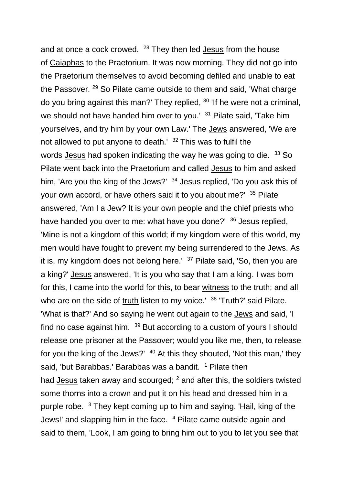and at once a cock crowed. <sup>28</sup> They then led **[Jesus](https://www.catholic.org/clife/jesus)** from the house of [Caiaphas](https://www.catholic.org/encyclopedia/view.php?id=2361) to the Praetorium. It was now morning. They did not go into the Praetorium themselves to avoid becoming defiled and unable to eat the Passover. <sup>29</sup> So Pilate came outside to them and said, 'What charge do you bring against this man?' They replied, <sup>30</sup> 'If he were not a criminal, we should not have handed him over to you.' <sup>31</sup> Pilate said, 'Take him yourselves, and try him by your own Law.' The [Jews](https://www.catholic.org/encyclopedia/view.php?id=6511) answered, 'We are not allowed to put anyone to death. $132$  This was to fulfil the words [Jesus](https://www.catholic.org/clife/jesus) had spoken indicating the way he was going to die. <sup>33</sup> So Pilate went back into the Praetorium and called [Jesus](https://www.catholic.org/clife/jesus) to him and asked him, 'Are you the king of the Jews?' <sup>34</sup> Jesus replied, 'Do you ask this of your own accord, or have others said it to you about me?' <sup>35</sup> Pilate answered, 'Am I a Jew? It is your own people and the chief priests who have handed you over to me: what have you done?' <sup>36</sup> Jesus replied, 'Mine is not a kingdom of this world; if my kingdom were of this world, my men would have fought to prevent my being surrendered to the Jews. As it is, my kingdom does not belong here.'  $37$  Pilate said, 'So, then you are a king?' [Jesus](https://www.catholic.org/clife/jesus) answered, 'It is you who say that I am a king. I was born for this, I came into the world for this, to bear [witness](https://www.catholic.org/encyclopedia/view.php?id=12423) to the truth; and all who are on the side of  $truth$  $truth$  $truth$  listen to my voice.'  $38$  'Truth?' said Pilate.</u> 'What is that?' And so saying he went out again to the [Jews](https://www.catholic.org/encyclopedia/view.php?id=6511) and said, 'I find no case against him.  $39$  But according to a custom of yours I should release one prisoner at the Passover; would you like me, then, to release for you the king of the Jews?' <sup>40</sup> At this they shouted, 'Not this man,' they said, 'but Barabbas.' Barabbas was a bandit. <sup>1</sup> Pilate then had [Jesus](https://www.catholic.org/clife/jesus) taken away and scourged; <sup>2</sup> and after this, the soldiers twisted some thorns into a crown and put it on his head and dressed him in a purple robe. <sup>3</sup> They kept coming up to him and saying, 'Hail, king of the Jews!' and slapping him in the face. <sup>4</sup> Pilate came outside again and said to them, 'Look, I am going to bring him out to you to let you see that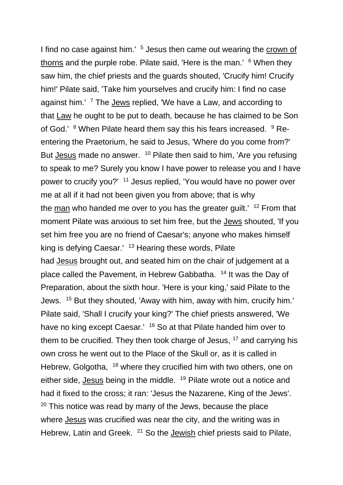I find no case against him.' <sup>5</sup> Jesus then came out wearing the crown of [thorns](https://www.catholic.org/encyclopedia/view.php?id=3534) and the purple robe. Pilate said, 'Here is the man.' <sup>6</sup> When they saw him, the chief priests and the guards shouted, 'Crucify him! Crucify him!' Pilate said, 'Take him yourselves and crucify him: I find no case against him.' <sup>7</sup> The **[Jews](https://www.catholic.org/encyclopedia/view.php?id=6511)** replied, 'We have a Law, and according to that [Law](https://www.catholic.org/encyclopedia/view.php?id=6916) he ought to be put to death, because he has claimed to be Son of God.' <sup>8</sup> When Pilate heard them say this his fears increased. <sup>9</sup> Reentering the Praetorium, he said to Jesus, 'Where do you come from?' But [Jesus](https://www.catholic.org/clife/jesus) made no answer. <sup>10</sup> Pilate then said to him, 'Are you refusing to speak to me? Surely you know I have power to release you and I have power to crucify you?' <sup>11</sup> Jesus replied, 'You would have no power over me at all if it had not been given you from above; that is why the  $man$  $man$  $man$  who handed me over to you has the greater guilt.'  $12$  From that</u> moment Pilate was anxious to set him free, but the [Jews](https://www.catholic.org/encyclopedia/view.php?id=6511) shouted, 'If you set him free you are no friend of Caesar's; anyone who makes himself king is defying Caesar.' <sup>13</sup> Hearing these words, Pilate had [Jesus](https://www.catholic.org/clife/jesus) brought out, and seated him on the chair of judgement at a place called the Pavement, in Hebrew Gabbatha. <sup>14</sup> It was the Day of Preparation, about the sixth hour. 'Here is your king,' said Pilate to the Jews. <sup>15</sup> But they shouted, 'Away with him, away with him, crucify him.' Pilate said, 'Shall I crucify your king?' The chief priests answered, 'We have no king except Caesar.' <sup>16</sup> So at that Pilate handed him over to them to be crucified. They then took charge of Jesus,  $17$  and carrying his own cross he went out to the Place of the Skull or, as it is called in Hebrew, Golgotha, <sup>18</sup> where they crucified him with two others, one on either side, [Jesus](https://www.catholic.org/clife/jesus) being in the middle. <sup>19</sup> Pilate wrote out a notice and had it fixed to the cross; it ran: 'Jesus the Nazarene, King of the Jews'.  $20$  This notice was read by many of the Jews, because the place where [Jesus](https://www.catholic.org/clife/jesus) was crucified was near the city, and the writing was in Hebrew, Latin and Greek. <sup>21</sup> So the [Jewish](https://www.catholic.org/encyclopedia/view.php?id=6511) chief priests said to Pilate,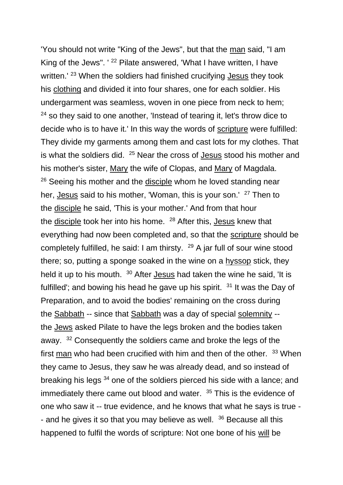'You should not write "King of the Jews", but that the [man](https://www.catholic.org/encyclopedia/view.php?id=7463) said, "I am King of the Jews". ' <sup>22</sup> Pilate answered, 'What I have written, I have written.' <sup>23</sup> When the soldiers had finished crucifying [Jesus](https://www.catholic.org/clife/jesus) they took his [clothing](https://www.catholic.org/shopping/?category=5) and divided it into four shares, one for each soldier. His undergarment was seamless, woven in one piece from neck to hem;  $24$  so they said to one another, 'Instead of tearing it, let's throw dice to decide who is to have it.' In this way the words of [scripture](https://www.catholic.org/encyclopedia/view.php?id=10624) were fulfilled: They divide my garments among them and cast lots for my clothes. That is what the soldiers did. <sup>25</sup> Near the cross of [Jesus](https://www.catholic.org/clife/jesus) stood his mother and his mother's sister, [Mary](https://www.catholic.org/bookstore/?category=19) the wife of Clopas, and [Mary](https://www.catholic.org/bookstore/?category=19) of Magdala. <sup>26</sup> Seeing his mother and the [disciple](https://www.catholic.org/encyclopedia/view.php?id=3895) whom he loved standing near her, [Jesus](https://www.catholic.org/clife/jesus) said to his mother, 'Woman, this is your son.' <sup>27</sup> Then to the [disciple](https://www.catholic.org/encyclopedia/view.php?id=3895) he said, 'This is your mother.' And from that hour the [disciple](https://www.catholic.org/encyclopedia/view.php?id=3895) took her into his home. <sup>28</sup> After this, [Jesus](https://www.catholic.org/clife/jesus) knew that everything had now been completed and, so that the [scripture](https://www.catholic.org/encyclopedia/view.php?id=10624) should be completely fulfilled, he said: I am thirsty.  $^{29}$  A jar full of sour wine stood there; so, putting a sponge soaked in the wine on a [hyssop](https://www.catholic.org/encyclopedia/view.php?id=6006) stick, they held it up to his mouth. <sup>30</sup> After **[Jesus](https://www.catholic.org/clife/jesus)** had taken the wine he said, 'It is fulfilled'; and bowing his head he gave up his spirit.  $31$  It was the Day of Preparation, and to avoid the bodies' remaining on the cross during the [Sabbath](https://www.catholic.org/encyclopedia/view.php?id=10265) -- since that [Sabbath](https://www.catholic.org/encyclopedia/view.php?id=10265) was a day of special [solemnity](https://www.catholic.org/encyclopedia/view.php?id=10932) - the [Jews](https://www.catholic.org/encyclopedia/view.php?id=6511) asked Pilate to have the legs broken and the bodies taken away. <sup>32</sup> Consequently the soldiers came and broke the legs of the first [man](https://www.catholic.org/encyclopedia/view.php?id=7463) who had been crucified with him and then of the other. <sup>33</sup> When they came to Jesus, they saw he was already dead, and so instead of breaking his legs <sup>34</sup> one of the soldiers pierced his side with a lance; and immediately there came out blood and water. <sup>35</sup> This is the evidence of one who saw it -- true evidence, and he knows that what he says is true - - and he gives it so that you may believe as well.  $36$  Because all this happened to fulfil the words of scripture: Not one bone of his [will](https://www.catholic.org/encyclopedia/view.php?id=12332) be